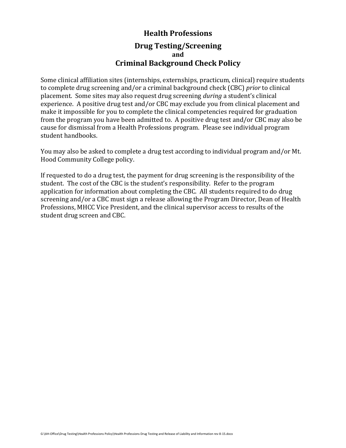## **Health Professions Drug Testing/Screening and Criminal Background Check Policy**

Some clinical affiliation sites (internships, externships, practicum, clinical) require students to complete drug screening and/or a criminal background check (CBC) *prior* to clinical placement. Some sites may also request drug screening *during* a student's clinical experience. A positive drug test and/or CBC may exclude you from clinical placement and make it impossible for you to complete the clinical competencies required for graduation from the program you have been admitted to. A positive drug test and/or CBC may also be cause for dismissal from a Health Professions program. Please see individual program student handbooks.

You may also be asked to complete a drug test according to individual program and/or Mt. Hood Community College policy.

If requested to do a drug test, the payment for drug screening is the responsibility of the student. The cost of the CBC is the student's responsibility. Refer to the program application for information about completing the CBC. All students required to do drug screening and/or a CBC must sign a release allowing the Program Director, Dean of Health Professions, MHCC Vice President, and the clinical supervisor access to results of the student drug screen and CBC.